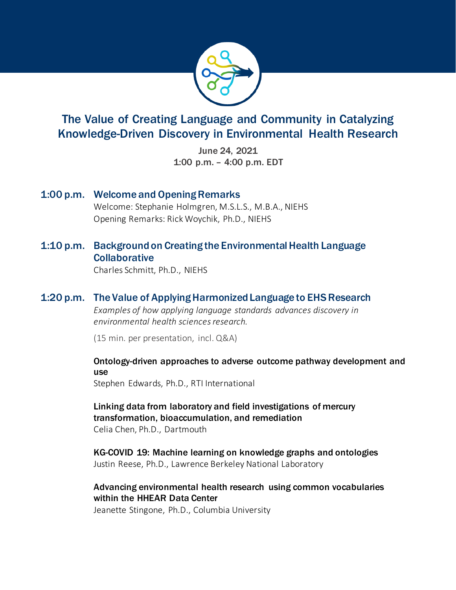

# The Value of Creating Language and Community in Catalyzing Knowledge-Driven Discovery in Environmental Health Research

 1:00 p.m. – 4:00 p.m. EDT June 24, 2021

- 1:00 p.m. Welcome and Opening Remarks Welcome: Stephanie Holmgren, M.S.L.S., M.B.A., NIEHS Opening Remarks: Rick Woychik, Ph.D., NIEHS
- 1:10 p.m. Background on Creating the Environmental Health Language **Collaborative**

Charles Schmitt, Ph.D., NIEHS

## 1:20 p.m. The Value of Applying Harmonized Language to EHS Research

 *Examples of how applying language standards advances discovery in environmental health sciences research.* 

(15 min. per presentation, incl. Q&A)

 Ontology-driven approaches to adverse outcome pathway development and use

Stephen Edwards, Ph.D., RTI International

 Linking data from laboratory and field investigations of mercury Celia Chen, Ph.D., Dartmouth transformation, bioaccumulation, and remediation

 KG-COVID 19: Machine learning on knowledge graphs and ontologies Justin Reese, Ph.D., Lawrence Berkeley National Laboratory

 within the HHEAR Data Center Advancing environmental health research using common vocabularies

Jeanette Stingone, Ph.D., Columbia University